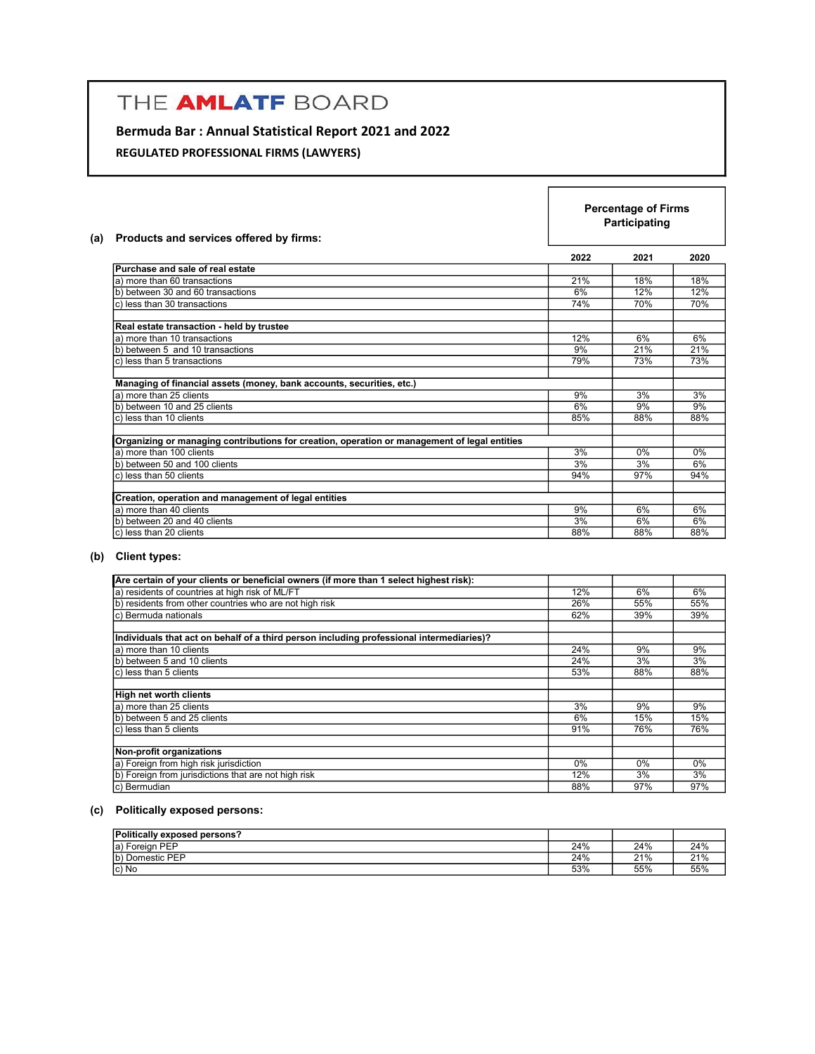# THE AMLATF BOARD

# Bermuda Bar : Annual Statistical Report 2021 and 2022

REGULATED PROFESSIONAL FIRMS (LAWYERS)

| Products and services offered by firms:<br>(a)                                               |      | <b>Percentage of Firms</b><br>Participating |      |  |
|----------------------------------------------------------------------------------------------|------|---------------------------------------------|------|--|
|                                                                                              | 2022 | 2021                                        | 2020 |  |
| Purchase and sale of real estate                                                             |      |                                             |      |  |
| a) more than 60 transactions                                                                 | 21%  | 18%                                         | 18%  |  |
| b) between 30 and 60 transactions                                                            | 6%   | 12%                                         | 12%  |  |
| c) less than 30 transactions                                                                 | 74%  | 70%                                         | 70%  |  |
| Real estate transaction - held by trustee                                                    |      |                                             |      |  |
| a) more than 10 transactions                                                                 | 12%  | 6%                                          | 6%   |  |
| b) between 5 and 10 transactions                                                             | 9%   | 21%                                         | 21%  |  |
| c) less than 5 transactions                                                                  | 79%  | 73%                                         | 73%  |  |
| Managing of financial assets (money, bank accounts, securities, etc.)                        |      |                                             |      |  |
| a) more than 25 clients                                                                      | 9%   | 3%                                          | 3%   |  |
| b) between 10 and 25 clients                                                                 | 6%   | 9%                                          | 9%   |  |
| c) less than 10 clients                                                                      | 85%  | 88%                                         | 88%  |  |
| Organizing or managing contributions for creation, operation or management of legal entities |      |                                             |      |  |
| a) more than 100 clients                                                                     | 3%   | 0%                                          | 0%   |  |
| b) between 50 and 100 clients                                                                | 3%   | 3%                                          | 6%   |  |
| c) less than 50 clients                                                                      | 94%  | 97%                                         | 94%  |  |
| Creation, operation and management of legal entities                                         |      |                                             |      |  |
| a) more than 40 clients                                                                      | 9%   | 6%                                          | 6%   |  |
| b) between 20 and 40 clients                                                                 | 3%   | 6%                                          | 6%   |  |
| c) less than 20 clients                                                                      | 88%  | 88%                                         | 88%  |  |

 $\mathbf{r}$ 

### (b) Client types:

| Are certain of your clients or beneficial owners (if more than 1 select highest risk):   |     |     |     |
|------------------------------------------------------------------------------------------|-----|-----|-----|
| a) residents of countries at high risk of ML/FT                                          | 12% | 6%  | 6%  |
| b) residents from other countries who are not high risk                                  | 26% | 55% | 55% |
| c) Bermuda nationals                                                                     | 62% | 39% | 39% |
|                                                                                          |     |     |     |
| Individuals that act on behalf of a third person including professional intermediaries)? |     |     |     |
| a) more than 10 clients                                                                  | 24% | 9%  | 9%  |
| b) between 5 and 10 clients                                                              | 24% | 3%  | 3%  |
| lc) less than 5 clients                                                                  | 53% | 88% | 88% |
|                                                                                          |     |     |     |
| High net worth clients                                                                   |     |     |     |
| a) more than 25 clients                                                                  | 3%  | 9%  | 9%  |
| b) between 5 and 25 clients                                                              | 6%  | 15% | 15% |
| lc) less than 5 clients                                                                  | 91% | 76% | 76% |
|                                                                                          |     |     |     |
| Non-profit organizations                                                                 |     |     |     |
| a) Foreign from high risk jurisdiction                                                   | 0%  | 0%  | 0%  |
| b) Foreign from jurisdictions that are not high risk                                     | 12% | 3%  | 3%  |
| lc) Bermudian                                                                            | 88% | 97% | 97% |

### (c) Politically exposed persons:

| Politically exposed persons? |     |     |     |
|------------------------------|-----|-----|-----|
| Foreian PEP<br>la) i         | 24% | 24% | 24% |
| (b) Domestic PEP             | 24% | 21% | 21% |
| Ic) No                       | 53% | 55% | 55% |